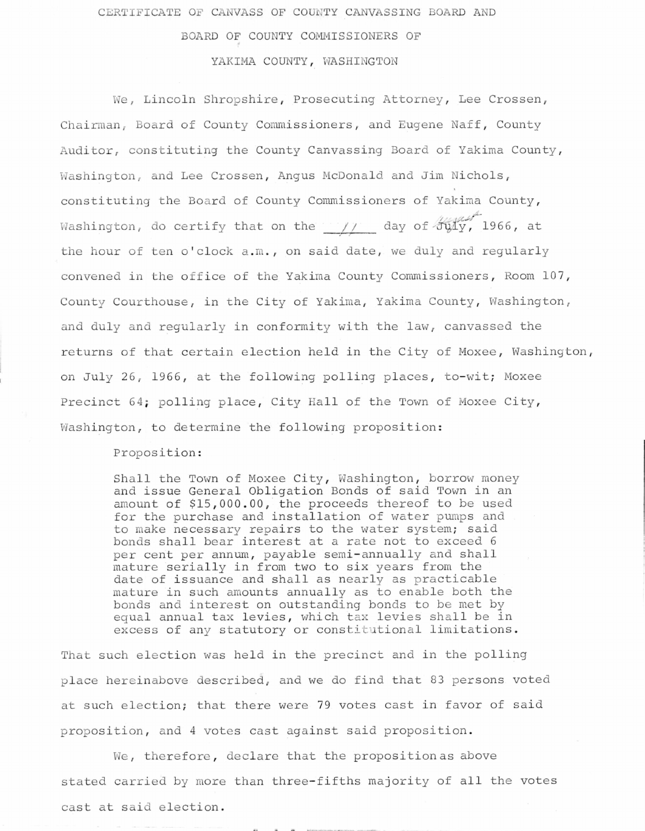CERTIFICATE OF CANVASS OF COUNTY CANVASSING BOARD AND

## BOARD OF COUNTY COMMISSIONERS OF

## YAKIMA COUNTY, WASHINGTON

We, Lincoln Shropshire, Prosecuting Attorney, Lee Crossen, Chairman, Board of County Commissioners, and Eugene Naff, County Auditor, constituting the County Canvassing Board of Yakima County, Washington, and Lee Crossen, Angus McDonald and Jim Nichols, constituting the Board of County Commissioners of Yakima County, Washington, do certify that on the  $\frac{1}{1-\alpha}$  day of  $\frac{1}{2\alpha}$  1966, at the hour of ten o'clock a.m., on said date, we duly and regularly convened in the office of the Yakima County Commissioners, Room 107, County Courthouse, in the City of Yakima, Yakima County, Washington, and duly and regularly in conformity with the law, canvassed the returns of that certain election held in the City of Moxee, Washington, on July 26, 1966, at the following polling places, to-wit; Moxee Precinct 64; polling place, City Hall of the Town of Moxee City, Washington, to determine the following proposition:

Proposition:

Shall the Town of Moxee City, Washington, borrow money and issue General Obligation Bonds of said Town in an amount of \$15,000.00, the proceeds thereof to be used for the purchase and installation of water pumps and to make necessary repairs to the water system; said bonds shall bear interest at a rate not to exceed 6 per cent per annum, payable semi-annually and shall mature serially in from two to six years from the date of issuance and shall as nearly as practicable mature in such amounts annually as to enable both the bonds and interest on outstanding bonds to be met by equal annual tax levies, which tax levies shall be in excess of any statutory or constitutional limitations.

That such election was held in the precinct and in the polling place hereinabove described, and we do find that 83 persons voted at such election; that there were 79 votes cast in favor of said proposition, and 4 votes cast against said proposition.

We, therefore, declare that the proposition as above stated carried by more than three-fifths majority of all the votes cast at said election.